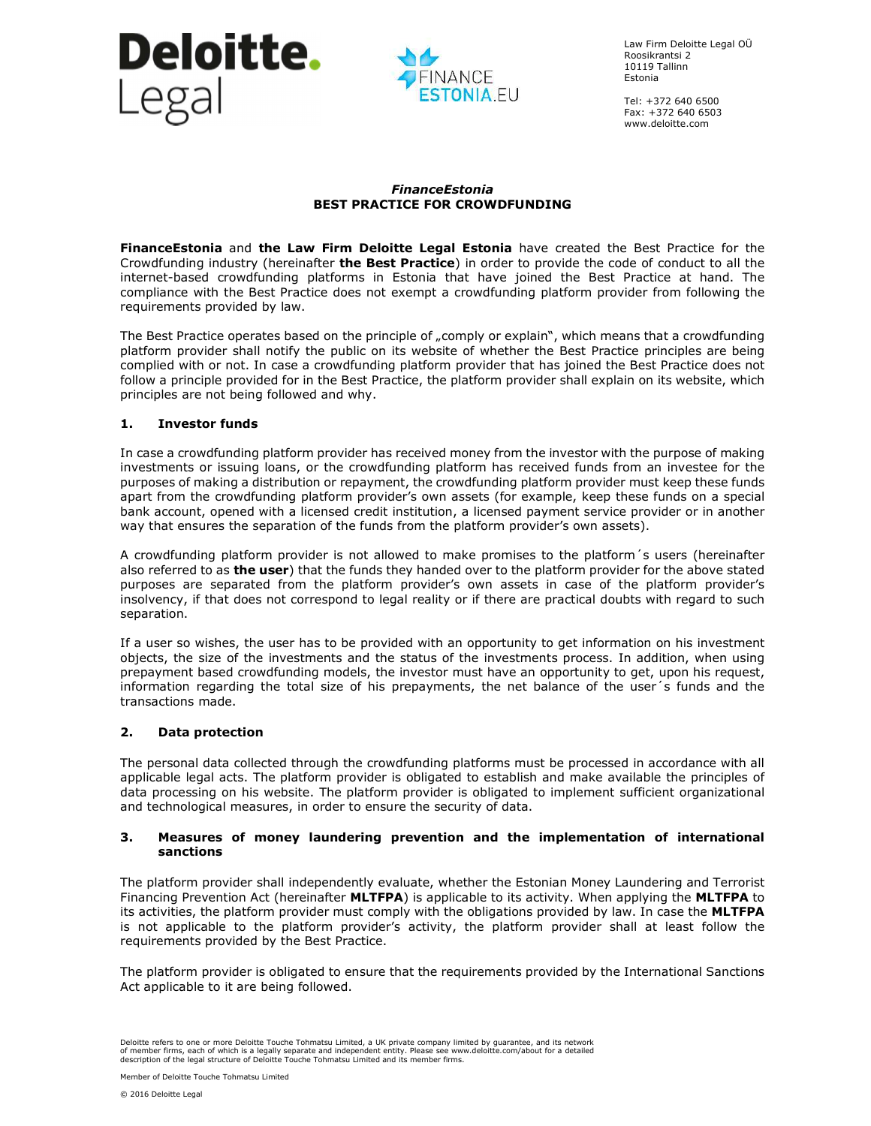



Law Firm Deloitte Legal OÜ Roosikrantsi 2 10119 Tallinn Estonia

Tel: +372 640 6500 Fax: +372 640 6503 www.deloitte.com

### *FinanceEstonia*  **BEST PRACTICE FOR CROWDFUNDING**

**FinanceEstonia** and **the Law Firm Deloitte Legal Estonia** have created the Best Practice for the Crowdfunding industry (hereinafter **the Best Practice**) in order to provide the code of conduct to all the internet-based crowdfunding platforms in Estonia that have joined the Best Practice at hand. The compliance with the Best Practice does not exempt a crowdfunding platform provider from following the requirements provided by law.

The Best Practice operates based on the principle of "comply or explain", which means that a crowdfunding platform provider shall notify the public on its website of whether the Best Practice principles are being complied with or not. In case a crowdfunding platform provider that has joined the Best Practice does not follow a principle provided for in the Best Practice, the platform provider shall explain on its website, which principles are not being followed and why.

### **1. Investor funds**

In case a crowdfunding platform provider has received money from the investor with the purpose of making investments or issuing loans, or the crowdfunding platform has received funds from an investee for the purposes of making a distribution or repayment, the crowdfunding platform provider must keep these funds apart from the crowdfunding platform provider's own assets (for example, keep these funds on a special bank account, opened with a licensed credit institution, a licensed payment service provider or in another way that ensures the separation of the funds from the platform provider's own assets).

A crowdfunding platform provider is not allowed to make promises to the platform´s users (hereinafter also referred to as **the user**) that the funds they handed over to the platform provider for the above stated purposes are separated from the platform provider's own assets in case of the platform provider's insolvency, if that does not correspond to legal reality or if there are practical doubts with regard to such separation.

If a user so wishes, the user has to be provided with an opportunity to get information on his investment objects, the size of the investments and the status of the investments process. In addition, when using prepayment based crowdfunding models, the investor must have an opportunity to get, upon his request, information regarding the total size of his prepayments, the net balance of the user´s funds and the transactions made.

### **2. Data protection**

The personal data collected through the crowdfunding platforms must be processed in accordance with all applicable legal acts. The platform provider is obligated to establish and make available the principles of data processing on his website. The platform provider is obligated to implement sufficient organizational and technological measures, in order to ensure the security of data.

### **3. Measures of money laundering prevention and the implementation of international sanctions**

The platform provider shall independently evaluate, whether the Estonian Money Laundering and Terrorist Financing Prevention Act (hereinafter **MLTFPA**) is applicable to its activity. When applying the **MLTFPA** to its activities, the platform provider must comply with the obligations provided by law. In case the **MLTFPA**  is not applicable to the platform provider's activity, the platform provider shall at least follow the requirements provided by the Best Practice.

The platform provider is obligated to ensure that the requirements provided by the International Sanctions Act applicable to it are being followed.

Deloitte refers to one or more Deloitte Touche Tohmatsu Limited, a UK private company limited by guarantee, and its network<br>of member firms, each of which is a legally separate and independent entity. Please see www.deloit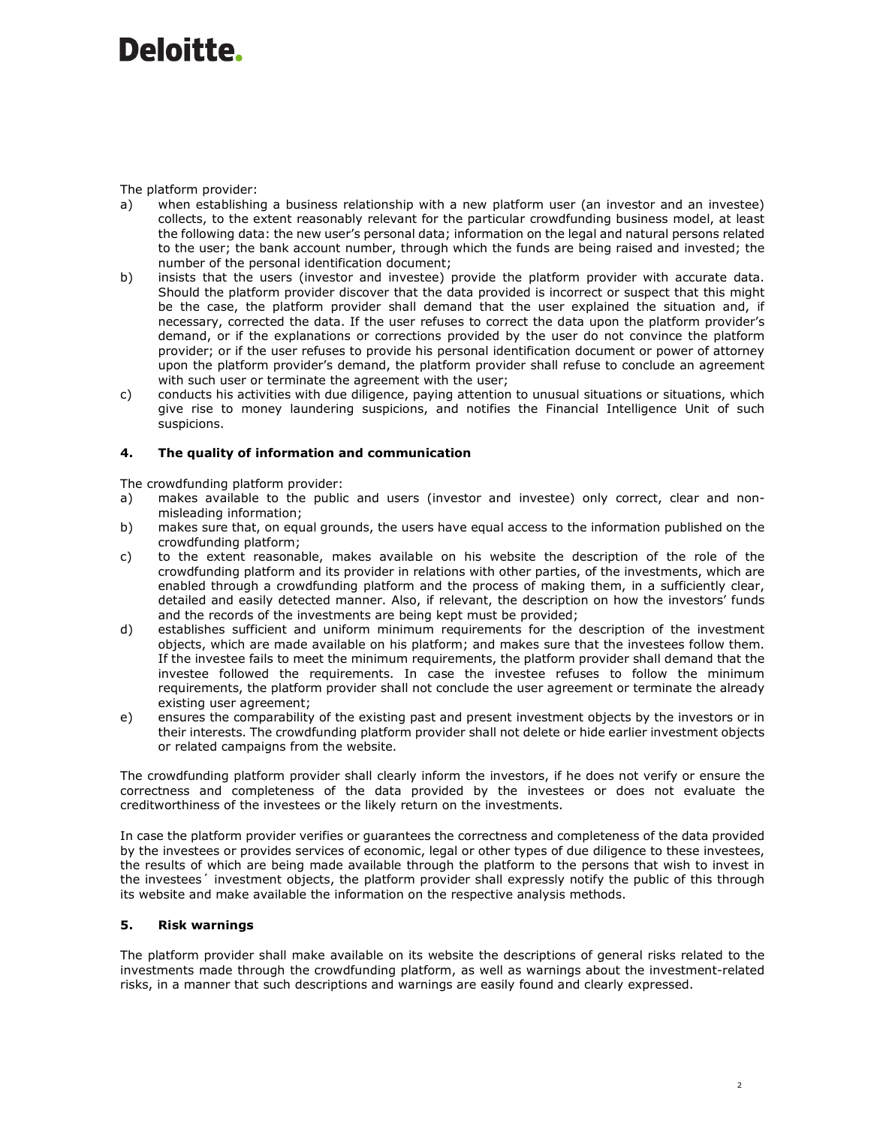### The platform provider:

- a) when establishing a business relationship with a new platform user (an investor and an investee) collects, to the extent reasonably relevant for the particular crowdfunding business model, at least the following data: the new user's personal data; information on the legal and natural persons related to the user; the bank account number, through which the funds are being raised and invested; the number of the personal identification document;
- b) insists that the users (investor and investee) provide the platform provider with accurate data. Should the platform provider discover that the data provided is incorrect or suspect that this might be the case, the platform provider shall demand that the user explained the situation and, if necessary, corrected the data. If the user refuses to correct the data upon the platform provider's demand, or if the explanations or corrections provided by the user do not convince the platform provider; or if the user refuses to provide his personal identification document or power of attorney upon the platform provider's demand, the platform provider shall refuse to conclude an agreement with such user or terminate the agreement with the user;
- c) conducts his activities with due diligence, paying attention to unusual situations or situations, which give rise to money laundering suspicions, and notifies the Financial Intelligence Unit of such suspicions.

## **4. The quality of information and communication**

The crowdfunding platform provider:

- a) makes available to the public and users (investor and investee) only correct, clear and nonmisleading information;
- b) makes sure that, on equal grounds, the users have equal access to the information published on the crowdfunding platform;
- c) to the extent reasonable, makes available on his website the description of the role of the crowdfunding platform and its provider in relations with other parties, of the investments, which are enabled through a crowdfunding platform and the process of making them, in a sufficiently clear, detailed and easily detected manner. Also, if relevant, the description on how the investors' funds and the records of the investments are being kept must be provided;
- d) establishes sufficient and uniform minimum requirements for the description of the investment objects, which are made available on his platform; and makes sure that the investees follow them. If the investee fails to meet the minimum requirements, the platform provider shall demand that the investee followed the requirements. In case the investee refuses to follow the minimum requirements, the platform provider shall not conclude the user agreement or terminate the already existing user agreement;
- e) ensures the comparability of the existing past and present investment objects by the investors or in their interests. The crowdfunding platform provider shall not delete or hide earlier investment objects or related campaigns from the website.

The crowdfunding platform provider shall clearly inform the investors, if he does not verify or ensure the correctness and completeness of the data provided by the investees or does not evaluate the creditworthiness of the investees or the likely return on the investments.

In case the platform provider verifies or guarantees the correctness and completeness of the data provided by the investees or provides services of economic, legal or other types of due diligence to these investees, the results of which are being made available through the platform to the persons that wish to invest in the investees´ investment objects, the platform provider shall expressly notify the public of this through its website and make available the information on the respective analysis methods.

## **5. Risk warnings**

The platform provider shall make available on its website the descriptions of general risks related to the investments made through the crowdfunding platform, as well as warnings about the investment-related risks, in a manner that such descriptions and warnings are easily found and clearly expressed.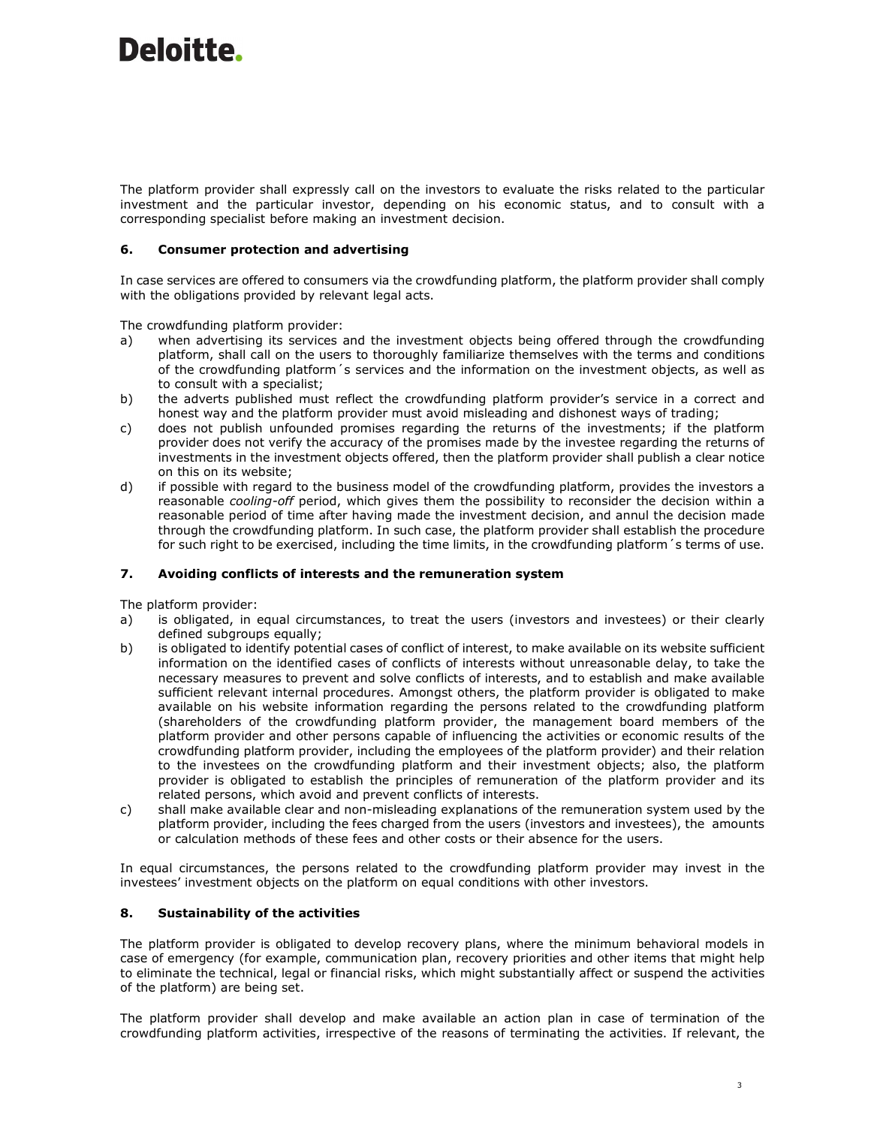The platform provider shall expressly call on the investors to evaluate the risks related to the particular investment and the particular investor, depending on his economic status, and to consult with a corresponding specialist before making an investment decision.

## **6. Consumer protection and advertising**

In case services are offered to consumers via the crowdfunding platform, the platform provider shall comply with the obligations provided by relevant legal acts.

The crowdfunding platform provider:

- a) when advertising its services and the investment objects being offered through the crowdfunding platform, shall call on the users to thoroughly familiarize themselves with the terms and conditions of the crowdfunding platform´s services and the information on the investment objects, as well as to consult with a specialist;
- b) the adverts published must reflect the crowdfunding platform provider's service in a correct and honest way and the platform provider must avoid misleading and dishonest ways of trading;
- c) does not publish unfounded promises regarding the returns of the investments; if the platform provider does not verify the accuracy of the promises made by the investee regarding the returns of investments in the investment objects offered, then the platform provider shall publish a clear notice on this on its website;
- d) if possible with regard to the business model of the crowdfunding platform, provides the investors a reasonable *cooling-off* period, which gives them the possibility to reconsider the decision within a reasonable period of time after having made the investment decision, and annul the decision made through the crowdfunding platform. In such case, the platform provider shall establish the procedure for such right to be exercised, including the time limits, in the crowdfunding platform´s terms of use.

### **7. Avoiding conflicts of interests and the remuneration system**

The platform provider:

- a) is obligated, in equal circumstances, to treat the users (investors and investees) or their clearly defined subgroups equally;
- b) is obligated to identify potential cases of conflict of interest, to make available on its website sufficient information on the identified cases of conflicts of interests without unreasonable delay, to take the necessary measures to prevent and solve conflicts of interests, and to establish and make available sufficient relevant internal procedures. Amongst others, the platform provider is obligated to make available on his website information regarding the persons related to the crowdfunding platform (shareholders of the crowdfunding platform provider, the management board members of the platform provider and other persons capable of influencing the activities or economic results of the crowdfunding platform provider, including the employees of the platform provider) and their relation to the investees on the crowdfunding platform and their investment objects; also, the platform provider is obligated to establish the principles of remuneration of the platform provider and its related persons, which avoid and prevent conflicts of interests.
- c) shall make available clear and non-misleading explanations of the remuneration system used by the platform provider, including the fees charged from the users (investors and investees), the amounts or calculation methods of these fees and other costs or their absence for the users.

In equal circumstances, the persons related to the crowdfunding platform provider may invest in the investees' investment objects on the platform on equal conditions with other investors.

### **8. Sustainability of the activities**

The platform provider is obligated to develop recovery plans, where the minimum behavioral models in case of emergency (for example, communication plan, recovery priorities and other items that might help to eliminate the technical, legal or financial risks, which might substantially affect or suspend the activities of the platform) are being set.

The platform provider shall develop and make available an action plan in case of termination of the crowdfunding platform activities, irrespective of the reasons of terminating the activities. If relevant, the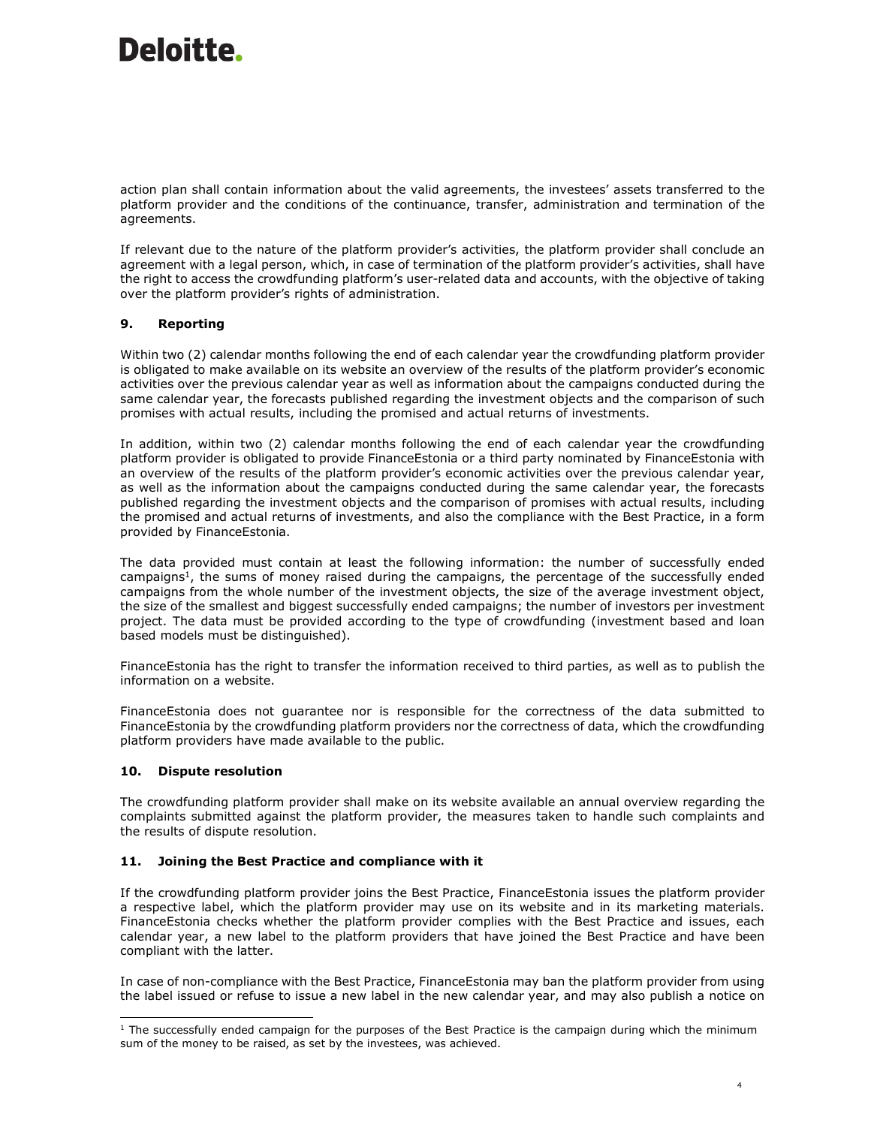action plan shall contain information about the valid agreements, the investees' assets transferred to the platform provider and the conditions of the continuance, transfer, administration and termination of the agreements.

If relevant due to the nature of the platform provider's activities, the platform provider shall conclude an agreement with a legal person, which, in case of termination of the platform provider's activities, shall have the right to access the crowdfunding platform's user-related data and accounts, with the objective of taking over the platform provider's rights of administration.

## **9. Reporting**

Within two (2) calendar months following the end of each calendar year the crowdfunding platform provider is obligated to make available on its website an overview of the results of the platform provider's economic activities over the previous calendar year as well as information about the campaigns conducted during the same calendar year, the forecasts published regarding the investment objects and the comparison of such promises with actual results, including the promised and actual returns of investments.

In addition, within two (2) calendar months following the end of each calendar year the crowdfunding platform provider is obligated to provide FinanceEstonia or a third party nominated by FinanceEstonia with an overview of the results of the platform provider's economic activities over the previous calendar year, as well as the information about the campaigns conducted during the same calendar year, the forecasts published regarding the investment objects and the comparison of promises with actual results, including the promised and actual returns of investments, and also the compliance with the Best Practice, in a form provided by FinanceEstonia.

The data provided must contain at least the following information: the number of successfully ended campaigns<sup>1</sup>, the sums of money raised during the campaigns, the percentage of the successfully ended campaigns from the whole number of the investment objects, the size of the average investment object, the size of the smallest and biggest successfully ended campaigns; the number of investors per investment project. The data must be provided according to the type of crowdfunding (investment based and loan based models must be distinguished).

FinanceEstonia has the right to transfer the information received to third parties, as well as to publish the information on a website.

FinanceEstonia does not guarantee nor is responsible for the correctness of the data submitted to FinanceEstonia by the crowdfunding platform providers nor the correctness of data, which the crowdfunding platform providers have made available to the public.

### **10. Dispute resolution**

The crowdfunding platform provider shall make on its website available an annual overview regarding the complaints submitted against the platform provider, the measures taken to handle such complaints and the results of dispute resolution.

### **11. Joining the Best Practice and compliance with it**

If the crowdfunding platform provider joins the Best Practice, FinanceEstonia issues the platform provider a respective label, which the platform provider may use on its website and in its marketing materials. FinanceEstonia checks whether the platform provider complies with the Best Practice and issues, each calendar year, a new label to the platform providers that have joined the Best Practice and have been compliant with the latter.

In case of non-compliance with the Best Practice, FinanceEstonia may ban the platform provider from using the label issued or refuse to issue a new label in the new calendar year, and may also publish a notice on

<sup>-</sup> $1$  The successfully ended campaign for the purposes of the Best Practice is the campaign during which the minimum sum of the money to be raised, as set by the investees, was achieved.